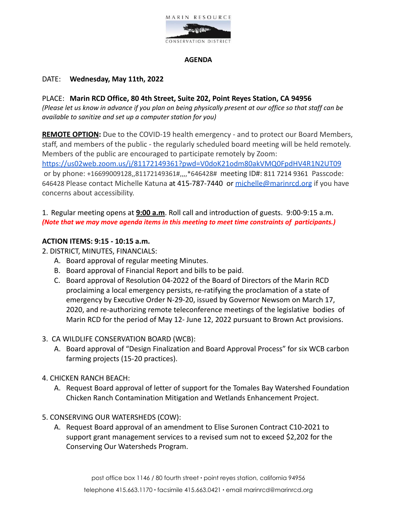

#### **AGENDA**

#### DATE: **Wednesday, May 11th, 2022**

PLACE: **Marin RCD Office, 80 4th Street, Suite 202, Point Reyes Station, CA 94956** (Please let us know in advance if you plan on being physically present at our office so that staff can be *available to sanitize and set up a computer station for you)*

**REMOTE OPTION:** Due to the COVID-19 health emergency - and to protect our Board Members, staff, and members of the public - the regularly scheduled board meeting will be held remotely. Members of the public are encouraged to participate remotely by Zoom: <https://us02web.zoom.us/j/81172149361?pwd=V0doK21odm80akVMQ0FpdHV4R1N2UT09> or by phone: +16699009128,,81172149361#,,,,\*646428# meeting ID#: 811 7214 9361 Passcode: 646428 Please contact Michelle Katuna at 415-787-7440 or [michelle@marinrcd.org](mailto:michelle@marinrcd.org) if you have concerns about accessibility.

1. Regular meeting opens at **9:00 a.m**. Roll call and introduction of guests. 9:00-9:15 a.m. *(Note that we may move agenda items in this meeting to meet time constraints of participants.)*

#### **ACTION ITEMS: 9:15 - 10:15 a.m.**

2. DISTRICT, MINUTES, FINANCIALS:

- A. Board approval of regular meeting Minutes.
- B. Board approval of Financial Report and bills to be paid.
- C. Board approval of Resolution 04-2022 of the Board of Directors of the Marin RCD proclaiming a local emergency persists, re-ratifying the proclamation of a state of emergency by Executive Order N-29-20, issued by Governor Newsom on March 17, 2020, and re-authorizing remote teleconference meetings of the legislative bodies of Marin RCD for the period of May 12- June 12, 2022 pursuant to Brown Act provisions.
- 3. CA WILDLIFE CONSERVATION BOARD (WCB):
	- A. Board approval of "Design Finalization and Board Approval Process" for six WCB carbon farming projects (15-20 practices).
- 4. CHICKEN RANCH BEACH:
	- A. Request Board approval of letter of support for the Tomales Bay Watershed Foundation Chicken Ranch Contamination Mitigation and Wetlands Enhancement Project.
- 5. CONSERVING OUR WATERSHEDS (COW):
	- A. Request Board approval of an amendment to Elise Suronen Contract C10-2021 to support grant management services to a revised sum not to exceed \$2,202 for the Conserving Our Watersheds Program.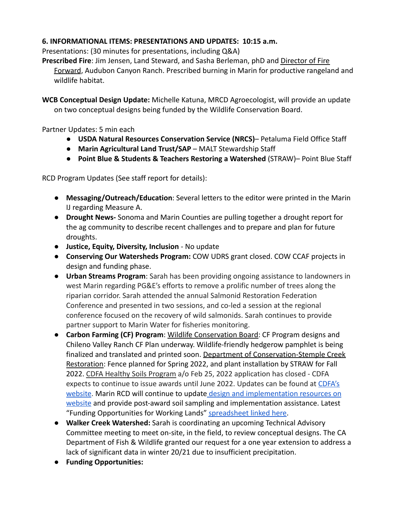## **6. INFORMATIONAL ITEMS: PRESENTATIONS AND UPDATES: 10:15 a.m.**

Presentations: (30 minutes for presentations, including Q&A)

**Prescribed Fire**: Jim Jensen, Land Steward, and Sasha Berleman, phD and [Director of Fire](https://www.egret.org/meet-our-team) [Forward](https://www.egret.org/meet-our-team), Audubon Canyon Ranch. Prescribed burning in Marin for productive rangeland and wildlife habitat.

**WCB Conceptual Design Update:** Michelle Katuna, MRCD Agroecologist, will provide an update on two conceptual designs being funded by the Wildlife Conservation Board.

Partner Updates: 5 min each

- **USDA Natural Resources Conservation Service (NRCS)** Petaluma Field Office Staff
- **Marin Agricultural Land Trust/SAP** MALT Stewardship Staff
- **Point Blue & Students & Teachers Restoring a Watershed** (STRAW)– Point Blue Staff

RCD Program Updates (See staff report for details):

- **Messaging/Outreach/Education**: Several letters to the editor were printed in the Marin IJ regarding Measure A.
- **Drought News-** Sonoma and Marin Counties are pulling together a drought report for the ag community to describe recent challenges and to prepare and plan for future droughts.
- **Justice, Equity, Diversity, Inclusion** No update
- **Conserving Our Watersheds Program:** COW UDRS grant closed. COW CCAF projects in design and funding phase.
- **Urban Streams Program**: Sarah has been providing ongoing assistance to landowners in west Marin regarding PG&E's efforts to remove a prolific number of trees along the riparian corridor. Sarah attended the annual Salmonid Restoration Federation Conference and presented in two sessions, and co-led a session at the regional conference focused on the recovery of wild salmonids. Sarah continues to provide partner support to Marin Water for fisheries monitoring.
- **Carbon Farming (CF) Program**: Wildlife Conservation Board: CF Program designs and Chileno Valley Ranch CF Plan underway. Wildlife-friendly hedgerow pamphlet is being finalized and translated and printed soon. Department of Conservation-Stemple Creek Restoration: Fence planned for Spring 2022, and plant installation by STRAW for Fall 2022. CDFA Healthy Soils Program a/o Feb 25, 2022 application has closed - CDFA expects to continue to issue awards until June 2022. Updates can be found at [CDFA's](https://www.cdfa.ca.gov/oefi/healthysoils/IncentivesProgram.html) [website.](https://www.cdfa.ca.gov/oefi/healthysoils/IncentivesProgram.html) Marin RCD will continue to update design [and implementation resources on](https://www.marinrcd.org/carbon-farm-implementation/) [website](https://www.marinrcd.org/carbon-farm-implementation/) and provide post-award soil sampling and implementation assistance. Latest "Funding Opportunities for Working Lands" [spreadsheet](https://www.marinrcd.org/wp/wp-content/uploads/2022/04/Funding-for-Working-Lands-in-Marin_Apr_28_2022update-1.pdf) linked here.
- **Walker Creek Watershed:** Sarah is coordinating an upcoming Technical Advisory Committee meeting to meet on-site, in the field, to review conceptual designs. The CA Department of Fish & Wildlife granted our request for a one year extension to address a lack of significant data in winter 20/21 due to insufficient precipitation.
- **Funding Opportunities:**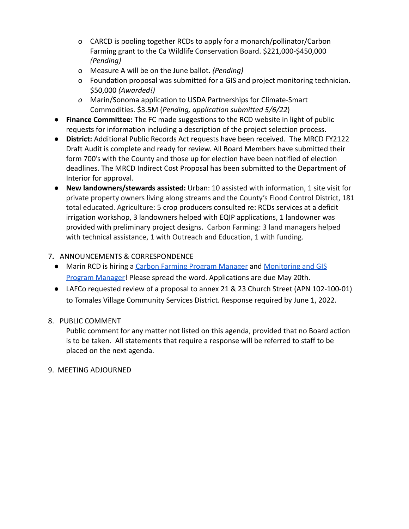- o CARCD is pooling together RCDs to apply for a monarch/pollinator/Carbon Farming grant to the Ca Wildlife Conservation Board. \$221,000-\$450,000 *(Pending)*
- o Measure A will be on the June ballot. *(Pending)*
- o Foundation proposal was submitted for a GIS and project monitoring technician. \$50,000 *(Awarded!)*
- *o* Marin/Sonoma application to USDA Partnerships for Climate-Smart Commodities. \$3.5M (*Pending, application submitted 5/6/22*)
- **Finance Committee:** The FC made suggestions to the RCD website in light of public requests for information including a description of the project selection process.
- **District:** Additional Public Records Act requests have been received. The MRCD FY2122 Draft Audit is complete and ready for review. All Board Members have submitted their form 700's with the County and those up for election have been notified of election deadlines. The MRCD Indirect Cost Proposal has been submitted to the Department of Interior for approval.
- **New landowners/stewards assisted:** Urban: 10 assisted with information, 1 site visit for private property owners living along streams and the County's Flood Control District, 181 total educated. Agriculture: 5 crop producers consulted re: RCDs services at a deficit irrigation workshop, 3 landowners helped with EQIP applications, 1 landowner was provided with preliminary project designs. Carbon Farming: 3 land managers helped with technical assistance, 1 with Outreach and Education, 1 with funding.

# 7**.** ANNOUNCEMENTS & CORRESPONDENCE

- Marin RCD is hiring a [Carbon Farming Program Manager](https://marinresourceconservationdistr.box.com/s/jzej4rnrmpabva357vlal778zwgb2iis) and [Monitoring and GIS](https://marinresourceconservationdistr.box.com/s/ikpgettvfokuaidiy97v362ksq72mb72) [Program Manager!](https://marinresourceconservationdistr.box.com/s/ikpgettvfokuaidiy97v362ksq72mb72) Please spread the word. Applications are due May 20th.
- LAFCo requested review of a proposal to annex 21 & 23 Church Street (APN 102-100-01) to Tomales Village Community Services District. Response required by June 1, 2022.

# 8. PUBLIC COMMENT

Public comment for any matter not listed on this agenda, provided that no Board action is to be taken. All statements that require a response will be referred to staff to be placed on the next agenda.

## 9. MEETING ADJOURNED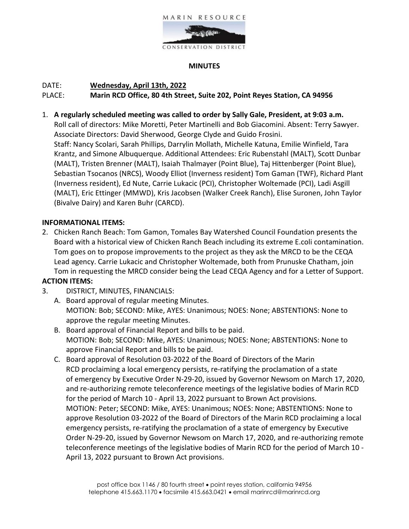

### **MINUTES**

### DATE: **Wednesday, April 13th, 2022**

### PLACE: **Marin RCD Office, 80 4th Street, Suite 202, Point Reyes Station, CA 94956**

1. **A regularly scheduled meeting was called to order by Sally Gale, President, at 9:03 a.m.**

Roll call of directors: Mike Moretti, Peter Martinelli and Bob Giacomini. Absent: Terry Sawyer. Associate Directors: David Sherwood, George Clyde and Guido Frosini.

Staff: Nancy Scolari, Sarah Phillips, Darrylin Mollath, Michelle Katuna, Emilie Winfield, Tara Krantz, and Simone Albuquerque. Additional Attendees: Eric Rubenstahl (MALT), Scott Dunbar (MALT), Tristen Brenner (MALT), Isaiah Thalmayer (Point Blue), Taj Hittenberger (Point Blue), Sebastian Tsocanos (NRCS), Woody Elliot (Inverness resident) Tom Gaman (TWF), Richard Plant (Inverness resident), Ed Nute, Carrie Lukacic (PCI), Christopher Woltemade (PCI), Ladi Asgill (MALT), Eric Ettinger (MMWD), Kris Jacobsen (Walker Creek Ranch), Elise Suronen, John Taylor (Bivalve Dairy) and Karen Buhr (CARCD).

#### **INFORMATIONAL ITEMS:**

- 2. Chicken Ranch Beach: Tom Gamon, Tomales Bay Watershed Council Foundation presents the Board with a historical view of Chicken Ranch Beach including its extreme E.coli contamination. Tom goes on to propose improvements to the project as they ask the MRCD to be the CEQA Lead agency. Carrie Lukacic and Christopher Woltemade, both from Prunuske Chatham, join Tom in requesting the MRCD consider being the Lead CEQA Agency and for a Letter of Support. **ACTION ITEMS:**
- 3. DISTRICT, MINUTES, FINANCIALS:
	- A. Board approval of regular meeting Minutes. MOTION: Bob; SECOND: Mike, AYES: Unanimous; NOES: None; ABSTENTIONS: None to approve the regular meeting Minutes.
	- B. Board approval of Financial Report and bills to be paid. MOTION: Bob; SECOND: Mike, AYES: Unanimous; NOES: None; ABSTENTIONS: None to approve Financial Report and bills to be paid.
	- C. Board approval of Resolution 03-2022 of the Board of Directors of the Marin RCD proclaiming a local emergency persists, re-ratifying the proclamation of a state of emergency by Executive Order N-29-20, issued by Governor Newsom on March 17, 2020, and re-authorizing remote teleconference meetings of the legislative bodies of Marin RCD for the period of March 10 - April 13, 2022 pursuant to Brown Act provisions. MOTION: Peter; SECOND: Mike, AYES: Unanimous; NOES: None; ABSTENTIONS: None to approve Resolution 03-2022 of the Board of Directors of the Marin RCD proclaiming a local emergency persists, re-ratifying the proclamation of a state of emergency by Executive Order N-29-20, issued by Governor Newsom on March 17, 2020, and re-authorizing remote teleconference meetings of the legislative bodies of Marin RCD for the period of March 10 - April 13, 2022 pursuant to Brown Act provisions.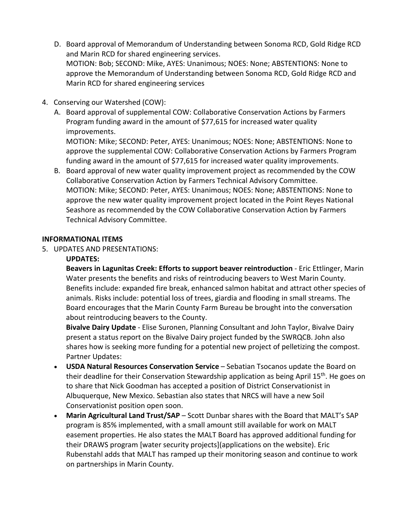- D. Board approval of Memorandum of Understanding between Sonoma RCD, Gold Ridge RCD and Marin RCD for shared engineering services. MOTION: Bob; SECOND: Mike, AYES: Unanimous; NOES: None; ABSTENTIONS: None to approve the Memorandum of Understanding between Sonoma RCD, Gold Ridge RCD and Marin RCD for shared engineering services
- 4. Conserving our Watershed (COW):
	- A. Board approval of supplemental COW: Collaborative Conservation Actions by Farmers Program funding award in the amount of \$77,615 for increased water quality improvements.

MOTION: Mike; SECOND: Peter, AYES: Unanimous; NOES: None; ABSTENTIONS: None to approve the supplemental COW: Collaborative Conservation Actions by Farmers Program funding award in the amount of \$77,615 for increased water quality improvements.

B. Board approval of new water quality improvement project as recommended by the COW Collaborative Conservation Action by Farmers Technical Advisory Committee. MOTION: Mike; SECOND: Peter, AYES: Unanimous; NOES: None; ABSTENTIONS: None to approve the new water quality improvement project located in the Point Reyes National Seashore as recommended by the COW Collaborative Conservation Action by Farmers Technical Advisory Committee.

### **INFORMATIONAL ITEMS**

5. UPDATES AND PRESENTATIONS:

### **UPDATES:**

**Beavers in Lagunitas Creek: Efforts to support beaver reintroduction** - Eric Ettlinger, Marin Water presents the benefits and risks of reintroducing beavers to West Marin County. Benefits include: expanded fire break, enhanced salmon habitat and attract other species of animals. Risks include: potential loss of trees, giardia and flooding in small streams. The Board encourages that the Marin County Farm Bureau be brought into the conversation about reintroducing beavers to the County.

**Bivalve Dairy Update** - Elise Suronen, Planning Consultant and John Taylor, Bivalve Dairy present a status report on the Bivalve Dairy project funded by the SWRQCB. John also shares how is seeking more funding for a potential new project of pelletizing the compost. Partner Updates:

- **USDA Natural Resources Conservation Service**  Sebatian Tsocanos update the Board on their deadline for their Conservation Stewardship application as being April 15<sup>th</sup>. He goes on to share that Nick Goodman has accepted a position of District Conservationist in Albuquerque, New Mexico. Sebastian also states that NRCS will have a new Soil Conservationist position open soon.
- **Marin Agricultural Land Trust/SAP**  Scott Dunbar shares with the Board that MALT's SAP program is 85% implemented, with a small amount still available for work on MALT easement properties. He also states the MALT Board has approved additional funding for their DRAWS program [water security projects](applications on the website). Eric Rubenstahl adds that MALT has ramped up their monitoring season and continue to work on partnerships in Marin County.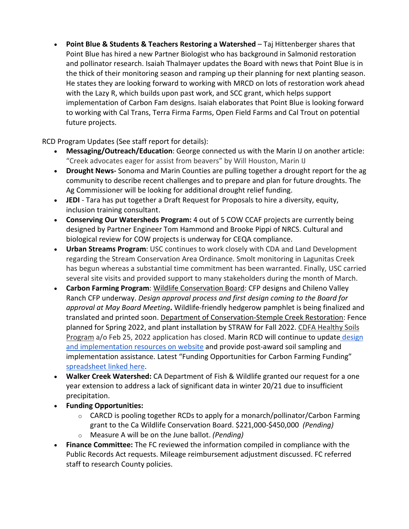• **Point Blue & Students & Teachers Restoring a Watershed** – Taj Hittenberger shares that Point Blue has hired a new Partner Biologist who has background in Salmonid restoration and pollinator research. Isaiah Thalmayer updates the Board with news that Point Blue is in the thick of their monitoring season and ramping up their planning for next planting season. He states they are looking forward to working with MRCD on lots of restoration work ahead with the Lazy R, which builds upon past work, and SCC grant, which helps support implementation of Carbon Fam designs. Isaiah elaborates that Point Blue is looking forward to working with Cal Trans, Terra Firma Farms, Open Field Farms and Cal Trout on potential future projects.

RCD Program Updates (See staff report for details):

- **Messaging/Outreach/Education**: George connected us with the Marin IJ on another article: "Creek advocates eager for assist from beavers" by Will Houston, Marin IJ
- **Drought News-** Sonoma and Marin Counties are pulling together a drought report for the ag community to describe recent challenges and to prepare and plan for future droughts. The Ag Commissioner will be looking for additional drought relief funding.
- **JEDI**  Tara has put together a Draft Request for Proposals to hire a diversity, equity, inclusion training consultant.
- **Conserving Our Watersheds Program:** 4 out of 5 COW CCAF projects are currently being designed by Partner Engineer Tom Hammond and Brooke Pippi of NRCS. Cultural and biological review for COW projects is underway for CEQA compliance.
- **Urban Streams Program**: USC continues to work closely with CDA and Land Development regarding the Stream Conservation Area Ordinance. Smolt monitoring in Lagunitas Creek has begun whereas a substantial time commitment has been warranted. Finally, USC carried several site visits and provided support to many stakeholders during the month of March.
- **Carbon Farming Program**: Wildlife Conservation Board: CFP designs and Chileno Valley Ranch CFP underway. *Design approval process and first design coming to the Board for approval at May Board Meeting***.** Wildlife-friendly hedgerow pamphlet is being finalized and translated and printed soon. Department of Conservation-Stemple Creek Restoration: Fence planned for Spring 2022, and plant installation by STRAW for Fall 2022. CDFA Healthy Soils Program a/o Feb 25, 2022 application has closed. Marin RCD will continue to update [design](https://www.marinrcd.org/carbon-farm-implementation/)  [and implementation resources on website](https://www.marinrcd.org/carbon-farm-implementation/) and provide post-award soil sampling and implementation assistance. Latest "Funding Opportunities for Carbon Farming Funding" [spreadsheet linked here.](https://www.marinrcd.org/wp/wp-content/uploads/2022/04/Funding-for-Carbon-Farming-in-Marin_Apr2022update.pdf)
- **Walker Creek Watershed:** CA Department of Fish & Wildlife granted our request for a one year extension to address a lack of significant data in winter 20/21 due to insufficient precipitation.
- **Funding Opportunities:**
	- $\circ$  CARCD is pooling together RCDs to apply for a monarch/pollinator/Carbon Farming grant to the Ca Wildlife Conservation Board. \$221,000-\$450,000 *(Pending)*
	- o Measure A will be on the June ballot. *(Pending)*
- **Finance Committee:** The FC reviewed the information compiled in compliance with the Public Records Act requests. Mileage reimbursement adjustment discussed. FC referred staff to research County policies.